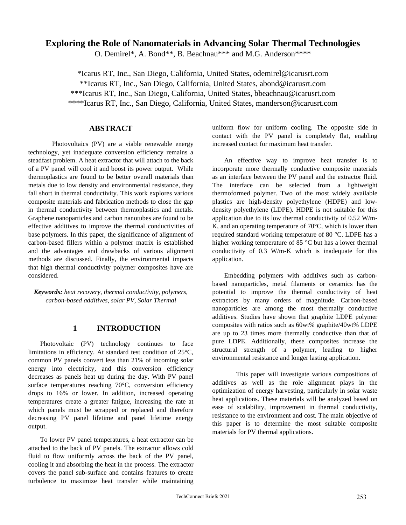## **Exploring the Role of Nanomaterials in Advancing Solar Thermal Technologies**

O. Demirel\*, A. Bond\*\*, B. Beachnau\*\*\* and M.G. Anderson\*\*\*\*

\*Icarus RT, Inc., San Diego, California, United States, odemirel@icarusrt.com \*\*Icarus RT, Inc., San Diego, California, United States, abond@icarusrt.com \*\*\*Icarus RT, Inc., San Diego, California, United States, bbeachnau@icarusrt.com \*\*\*\*Icarus RT, Inc., San Diego, California, United States, manderson@icarusrt.com

## **ABSTRACT**

Photovoltaics (PV) are a viable renewable energy technology, yet inadequate conversion efficiency remains a steadfast problem. A heat extractor that will attach to the back of a PV panel will cool it and boost its power output. While thermoplastics are found to be better overall materials than metals due to low density and environmental resistance, they fall short in thermal conductivity. This work explores various composite materials and fabrication methods to close the gap in thermal conductivity between thermoplastics and metals. Graphene nanoparticles and carbon nanotubes are found to be effective additives to improve the thermal conductivities of base polymers. In this paper, the significance of alignment of carbon-based fillers within a polymer matrix is established and the advantages and drawbacks of various alignment methods are discussed. Finally, the environmental impacts that high thermal conductivity polymer composites have are considered.

*Keywords: heat recovery, thermal conductivity, polymers, carbon-based additives, solar PV, Solar Thermal*

# **1 INTRODUCTION**

Photovoltaic (PV) technology continues to face limitations in efficiency. At standard test condition of 25°C, common PV panels convert less than 21% of incoming solar energy into electricity, and this conversion efficiency decreases as panels heat up during the day. With PV panel surface temperatures reaching 70°C, conversion efficiency drops to 16% or lower. In addition, increased operating temperatures create a greater fatigue, increasing the rate at which panels must be scrapped or replaced and therefore decreasing PV panel lifetime and panel lifetime energy output.

To lower PV panel temperatures, a heat extractor can be attached to the back of PV panels. The extractor allows cold fluid to flow uniformly across the back of the PV panel, cooling it and absorbing the heat in the process. The extractor covers the panel sub-surface and contains features to create turbulence to maximize heat transfer while maintaining uniform flow for uniform cooling. The opposite side in contact with the PV panel is completely flat, enabling increased contact for maximum heat transfer.

An effective way to improve heat transfer is to incorporate more thermally conductive composite materials as an interface between the PV panel and the extractor fluid. The interface can be selected from a lightweight thermoformed polymer. Two of the most widely available plastics are high-density polyethylene (HDPE) and lowdensity polyethylene (LDPE). HDPE is not suitable for this application due to its low thermal conductivity of 0.52 W/m-K, and an operating temperature of  $70^{\circ}$ C, which is lower than required standard working temperature of 80 °C. LDPE has a higher working temperature of 85 °C but has a lower thermal conductivity of 0.3 W/m-K which is inadequate for this application.

Embedding polymers with additives such as carbonbased nanoparticles, metal filaments or ceramics has the potential to improve the thermal conductivity of heat extractors by many orders of magnitude. Carbon-based nanoparticles are among the most thermally conductive additives. Studies have shown that graphite LDPE polymer composites with ratios such as 60wt% graphite/40wt% LDPE are up to 23 times more thermally conductive than that of pure LDPE. Additionally, these composites increase the structural strength of a polymer, leading to higher environmental resistance and longer lasting application.

This paper will investigate various compositions of additives as well as the role alignment plays in the optimization of energy harvesting, particularly in solar waste heat applications. These materials will be analyzed based on ease of scalability, improvement in thermal conductivity, resistance to the environment and cost. The main objective of this paper is to determine the most suitable composite materials for PV thermal applications.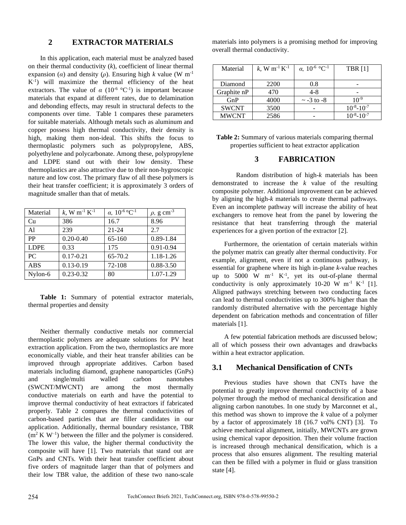## **2 EXTRACTOR MATERIALS**

In this application, each material must be analyzed based on their thermal conductivity  $(k)$ , coefficient of linear thermal expansion (*α*) and density (*ρ*). Ensuring high *k* value (W m<sup>-1</sup>) K-1 ) will maximize the thermal efficiency of the heat extractors. The value of  $\alpha$  (10<sup>-6</sup> °C<sup>-1</sup>) is important because materials that expand at different rates, due to delamination and debonding effects, may result in structural defects to the components over time. Table 1 compares these parameters for suitable materials. Although metals such as aluminum and copper possess high thermal conductivity, their density is high, making them non-ideal. This shifts the focus to thermoplastic polymers such as polypropylene, ABS, polyethylene and polycarbonate. Among these, polypropylene and LDPE stand out with their low density. These thermoplastics are also attractive due to their non-hygroscopic nature and low cost. The primary flaw of all these polymers is their heat transfer coefficient; it is approximately 3 orders of magnitude smaller than that of metals.

| Material    | k, W m <sup>-1</sup> K <sup>-1</sup> | $\alpha$ , 10 <sup>-6</sup> °C <sup>-1</sup> | $\rho$ , g cm <sup>-3</sup> |
|-------------|--------------------------------------|----------------------------------------------|-----------------------------|
| Cu          | 386                                  | 16.7                                         | 8.96                        |
| A1          | 239                                  | $21 - 24$                                    | 2.7                         |
| <b>PP</b>   | $0.20 - 0.40$                        | 65-160                                       | $0.89 - 1.84$               |
| <b>LDPE</b> | 0.33                                 | 175                                          | $0.91 - 0.94$               |
| PC          | $0.17 - 0.21$                        | 65-70.2                                      | 1.18-1.26                   |
| <b>ABS</b>  | $0.13 - 0.19$                        | 72-108                                       | $0.88 - 3.50$               |
| Nylon-6     | $0.23 - 0.32$                        | 80                                           | 1.07-1.29                   |

**Table 1:** Summary of potential extractor materials, thermal properties and density

Neither thermally conductive metals nor commercial thermoplastic polymers are adequate solutions for PV heat extraction application. From the two, thermoplastics are more economically viable, and their heat transfer abilities can be improved through appropriate additives. Carbon based materials including diamond, graphene nanoparticles (GnPs) and single/multi walled carbon nanotubes (SWCNT/MWCNT) are among the most thermally conductive materials on earth and have the potential to improve thermal conductivity of heat extractors if fabricated properly. Table 2 compares the thermal conductivities of carbon-based particles that are filler candidates in our application. Additionally, thermal boundary resistance, TBR  $(m<sup>2</sup> K W<sup>-1</sup>)$  between the filler and the polymer is considered. The lower this value, the higher thermal conductivity the composite will have [1]. Two materials that stand out are GnPs and CNTs. With their heat transfer coefficient about five orders of magnitude larger than that of polymers and their low TBR value, the addition of these two nano-scale

materials into polymers is a promising method for improving overall thermal conductivity.

| Material     | k, W m <sup>-1</sup> K <sup>-1</sup> | $\alpha$ , 10 <sup>-6</sup> °C <sup>-1</sup> | <b>TBR</b> [1]      |
|--------------|--------------------------------------|----------------------------------------------|---------------------|
| Diamond      | 2200                                 | 0.8                                          |                     |
| Graphite nP  | 470                                  | 4-8                                          |                     |
| GnP          | 4000                                 | $\sim$ -3 to -8                              | $10^{-9}$           |
| <b>SWCNT</b> | 3500                                 |                                              | $10^{-8} - 10^{-7}$ |
| <b>MWCNT</b> | 2586                                 |                                              | $10^{-8} - 10^{-7}$ |

**Table 2:** Summary of various materials comparing thermal properties sufficient to heat extractor application

### **3 FABRICATION**

Random distribution of high-*k* materials has been demonstrated to increase the *k* value of the resulting composite polymer. Additional improvement can be achieved by aligning the high-*k* materials to create thermal pathways. Even an incomplete pathway will increase the ability of heat exchangers to remove heat from the panel by lowering the resistance that heat transferring through the material experiences for a given portion of the extractor [2].

Furthermore, the orientation of certain materials within the polymer matrix can greatly alter thermal conductivity. For example, alignment, even if not a continuous pathway, is essential for graphene where its high in-plane *k*-value reaches up to  $5000 \text{ W } \text{m}^{-1} \text{ K}^{-1}$ , yet its out-of-plane thermal conductivity is only approximately  $10-20$  W m<sup>-1</sup> K<sup>-1</sup> [1]. Aligned pathways stretching between two conducting faces can lead to thermal conductivities up to 300% higher than the randomly distributed alternative with the percentage highly dependent on fabrication methods and concentration of filler materials [1].

A few potential fabrication methods are discussed below; all of which possess their own advantages and drawbacks within a heat extractor application.

## **3.1 Mechanical Densification of CNTs**

Previous studies have shown that CNTs have the potential to greatly improve thermal conductivity of a base polymer through the method of mechanical densification and aligning carbon nanotubes. In one study by Marconnet et al., this method was shown to improve the *k* value of a polymer by a factor of approximately 18 (16.7 vol% CNT) [3]. To achieve mechanical alignment, initially, MWCNTs are grown using chemical vapor deposition. Then their volume fraction is increased through mechanical densification, which is a process that also ensures alignment. The resulting material can then be filled with a polymer in fluid or glass transition state [4].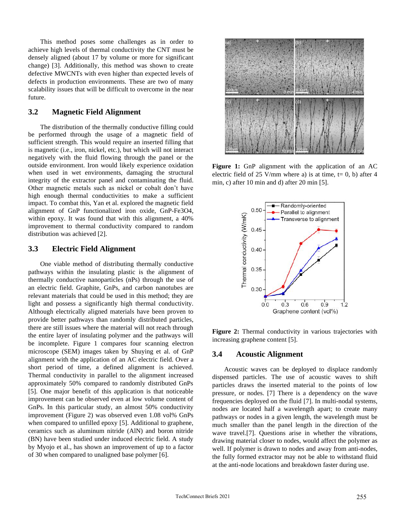This method poses some challenges as in order to achieve high levels of thermal conductivity the CNT must be densely aligned (about 17 by volume or more for significant change) [3]. Additionally, this method was shown to create defective MWCNTs with even higher than expected levels of defects in production environments. These are two of many scalability issues that will be difficult to overcome in the near future.

### **3.2 Magnetic Field Alignment**

The distribution of the thermally conductive filling could be performed through the usage of a magnetic field of sufficient strength. This would require an inserted filling that is magnetic (i.e., iron, nickel, etc.), but which will not interact negatively with the fluid flowing through the panel or the outside environment. Iron would likely experience oxidation when used in wet environments, damaging the structural integrity of the extractor panel and contaminating the fluid. Other magnetic metals such as nickel or cobalt don't have high enough thermal conductivities to make a sufficient impact. To combat this, Yan et al. explored the magnetic field alignment of GnP functionalized iron oxide, GnP-Fe3O4, within epoxy. It was found that with this alignment, a 40% improvement to thermal conductivity compared to random distribution was achieved [2].

#### **3.3 Electric Field Alignment**

One viable method of distributing thermally conductive pathways within the insulating plastic is the alignment of thermally conductive nanoparticles (nPs) through the use of an electric field. Graphite, GnPs, and carbon nanotubes are relevant materials that could be used in this method; they are light and possess a significantly high thermal conductivity. Although electrically aligned materials have been proven to provide better pathways than randomly distributed particles, there are still issues where the material will not reach through the entire layer of insulating polymer and the pathways will be incomplete. Figure 1 compares four scanning electron microscope (SEM) images taken by Shuying et al. of GnP alignment with the application of an AC electric field. Over a short period of time, a defined alignment is achieved. Thermal conductivity in parallel to the alignment increased approximately 50% compared to randomly distributed GnPs [5]. One major benefit of this application is that noticeable improvement can be observed even at low volume content of GnPs. In this particular study, an almost 50% conductivity improvement (Figure 2) was observed even 1.08 vol% GnPs when compared to unfilled epoxy [5]. Additional to graphene, ceramics such as aluminum nitride (AlN) and boron nitride (BN) have been studied under induced electric field. A study by Myojo et al., has shown an improvement of up to a factor of 30 when compared to unaligned base polymer [6].



Figure 1: GnP alignment with the application of an AC electric field of 25 V/mm where a) is at time,  $t= 0$ , b) after 4 min, c) after 10 min and d) after 20 min [5].



Figure 2: Thermal conductivity in various trajectories with increasing graphene content [5].

#### **3.4 Acoustic Alignment**

Acoustic waves can be deployed to displace randomly dispensed particles. The use of acoustic waves to shift particles draws the inserted material to the points of low pressure, or nodes. [7] There is a dependency on the wave frequencies deployed on the fluid [7]. In multi-nodal systems, nodes are located half a wavelength apart; to create many pathways or nodes in a given length, the wavelength must be much smaller than the panel length in the direction of the wave travel.[7]. Questions arise in whether the vibrations, drawing material closer to nodes, would affect the polymer as well. If polymer is drawn to nodes and away from anti-nodes, the fully formed extractor may not be able to withstand fluid at the anti-node locations and breakdown faster during use.